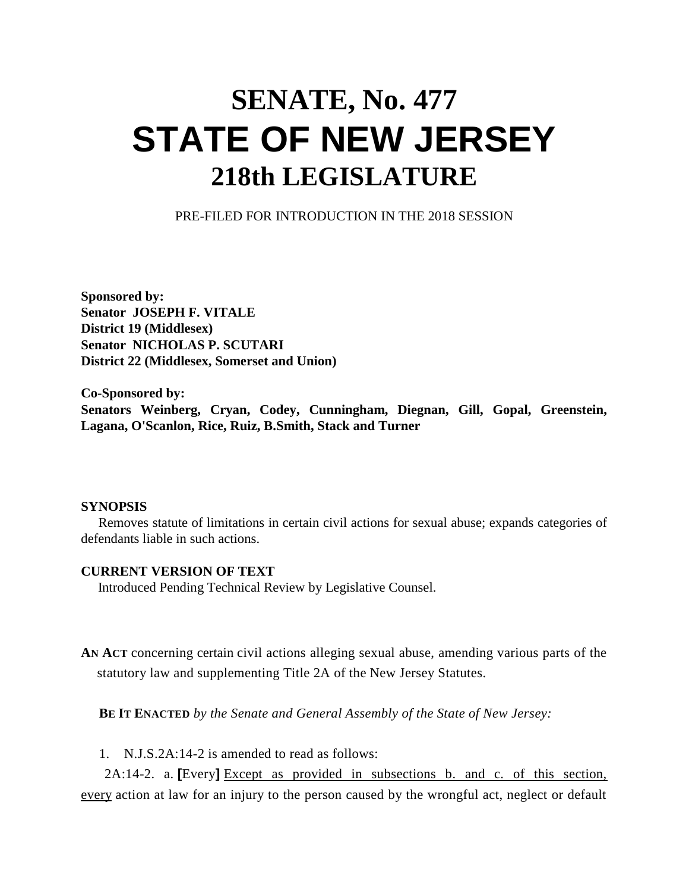## **SENATE, No. 477 STATE OF NEW JERSEY 218th LEGISLATURE**

PRE-FILED FOR INTRODUCTION IN THE 2018 SESSION

**Sponsored by: Senator JOSEPH F. VITALE District 19 (Middlesex) Senator NICHOLAS P. SCUTARI District 22 (Middlesex, Somerset and Union)**

**Co-Sponsored by: Senators Weinberg, Cryan, Codey, Cunningham, Diegnan, Gill, Gopal, Greenstein, Lagana, O'Scanlon, Rice, Ruiz, B.Smith, Stack and Turner**

## **SYNOPSIS**

 Removes statute of limitations in certain civil actions for sexual abuse; expands categories of defendants liable in such actions.

## **CURRENT VERSION OF TEXT**

Introduced Pending Technical Review by Legislative Counsel.

**AN ACT** concerning certain civil actions alleging sexual abuse, amending various parts of the statutory law and supplementing Title 2A of the New Jersey Statutes.

**BE IT ENACTED** *by the Senate and General Assembly of the State of New Jersey:*

1. N.J.S.2A:14-2 is amended to read as follows:

 2A:14-2. a. **[**Every**]** Except as provided in subsections b. and c. of this section, every action at law for an injury to the person caused by the wrongful act, neglect or default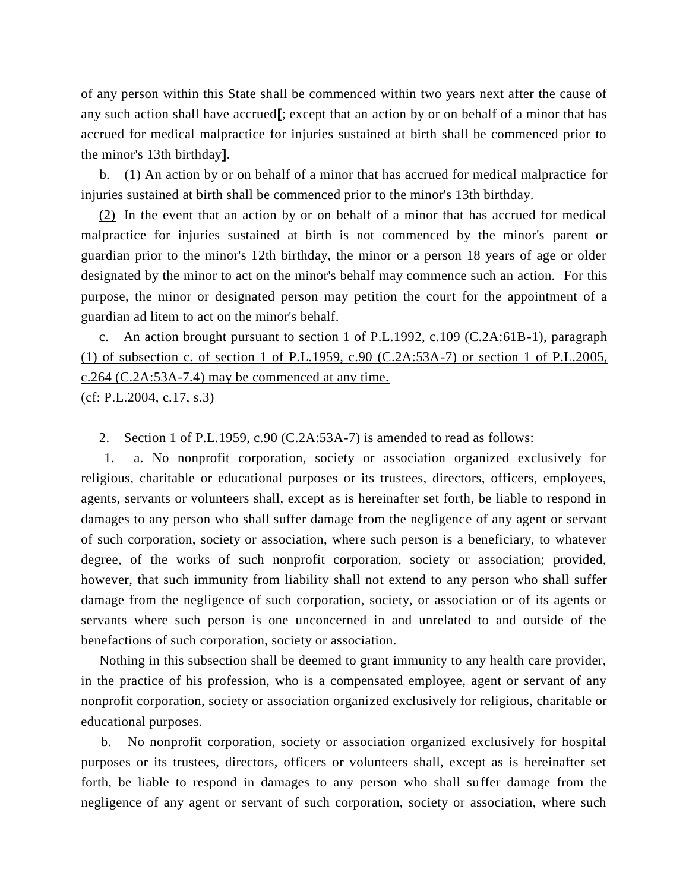of any person within this State shall be commenced within two years next after the cause of any such action shall have accrued**[**; except that an action by or on behalf of a minor that has accrued for medical malpractice for injuries sustained at birth shall be commenced prior to the minor's 13th birthday**]**.

 b. (1) An action by or on behalf of a minor that has accrued for medical malpractice for injuries sustained at birth shall be commenced prior to the minor's 13th birthday.

 (2) In the event that an action by or on behalf of a minor that has accrued for medical malpractice for injuries sustained at birth is not commenced by the minor's parent or guardian prior to the minor's 12th birthday, the minor or a person 18 years of age or older designated by the minor to act on the minor's behalf may commence such an action. For this purpose, the minor or designated person may petition the court for the appointment of a guardian ad litem to act on the minor's behalf.

 c.An action brought pursuant to section 1 of P.L.1992, c.109 (C.2A:61B-1), paragraph (1) of subsection c. of section 1 of P.L.1959, c.90 (C.2A:53A-7) or section 1 of P.L.2005, c.264 (C.2A:53A-7.4) may be commenced at any time. (cf: P.L.2004, c.17, s.3)

2. Section 1 of P.L.1959, c.90 (C.2A:53A-7) is amended to read as follows:

 1. a. No nonprofit corporation, society or association organized exclusively for religious, charitable or educational purposes or its trustees, directors, officers, employees, agents, servants or volunteers shall, except as is hereinafter set forth, be liable to respond in damages to any person who shall suffer damage from the negligence of any agent or servant of such corporation, society or association, where such person is a beneficiary, to whatever degree, of the works of such nonprofit corporation, society or association; provided, however, that such immunity from liability shall not extend to any person who shall suffer damage from the negligence of such corporation, society, or association or of its agents or servants where such person is one unconcerned in and unrelated to and outside of the benefactions of such corporation, society or association.

 Nothing in this subsection shall be deemed to grant immunity to any health care provider, in the practice of his profession, who is a compensated employee, agent or servant of any nonprofit corporation, society or association organized exclusively for religious, charitable or educational purposes.

 b. No nonprofit corporation, society or association organized exclusively for hospital purposes or its trustees, directors, officers or volunteers shall, except as is hereinafter set forth, be liable to respond in damages to any person who shall suffer damage from the negligence of any agent or servant of such corporation, society or association, where such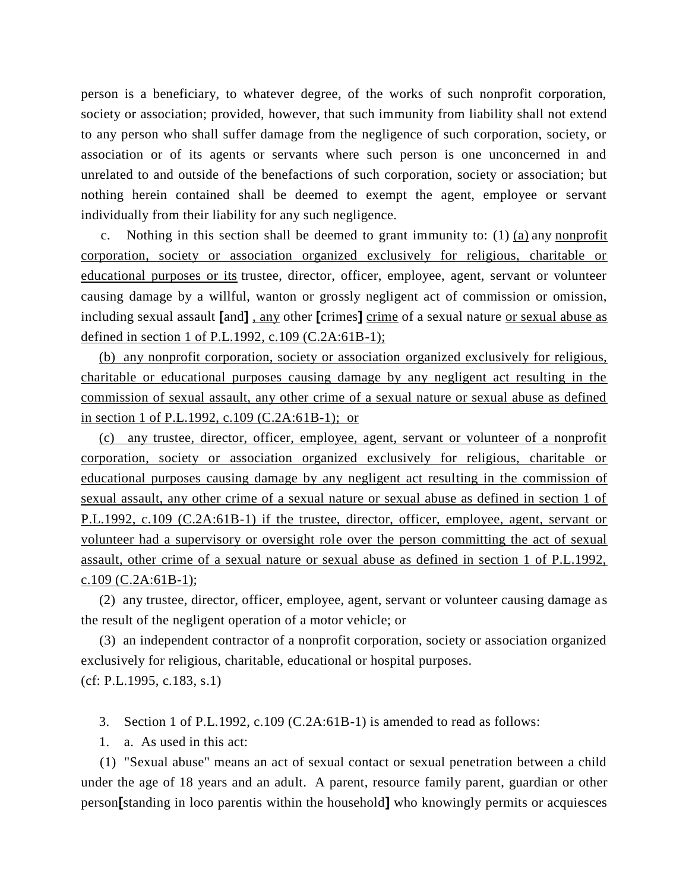person is a beneficiary, to whatever degree, of the works of such nonprofit corporation, society or association; provided, however, that such immunity from liability shall not extend to any person who shall suffer damage from the negligence of such corporation, society, or association or of its agents or servants where such person is one unconcerned in and unrelated to and outside of the benefactions of such corporation, society or association; but nothing herein contained shall be deemed to exempt the agent, employee or servant individually from their liability for any such negligence.

 c. Nothing in this section shall be deemed to grant immunity to: (1) (a) any nonprofit corporation, society or association organized exclusively for religious, charitable or educational purposes or its trustee, director, officer, employee, agent, servant or volunteer causing damage by a willful, wanton or grossly negligent act of commission or omission, including sexual assault **[**and**]** , any other **[**crimes**]** crime of a sexual nature or sexual abuse as defined in section 1 of P.L.1992, c.109 (C.2A:61B-1);

 (b) any nonprofit corporation, society or association organized exclusively for religious, charitable or educational purposes causing damage by any negligent act resulting in the commission of sexual assault, any other crime of a sexual nature or sexual abuse as defined in section 1 of P.L.1992, c.109 (C.2A:61B-1); or

 (c) any trustee, director, officer, employee, agent, servant or volunteer of a nonprofit corporation, society or association organized exclusively for religious, charitable or educational purposes causing damage by any negligent act resulting in the commission of sexual assault, any other crime of a sexual nature or sexual abuse as defined in section 1 of P.L.1992, c.109 (C.2A:61B-1) if the trustee, director, officer, employee, agent, servant or volunteer had a supervisory or oversight role over the person committing the act of sexual assault, other crime of a sexual nature or sexual abuse as defined in section 1 of P.L.1992, c.109 ( $C.2A:61B-1$ );

 (2) any trustee, director, officer, employee, agent, servant or volunteer causing damage as the result of the negligent operation of a motor vehicle; or

 (3) an independent contractor of a nonprofit corporation, society or association organized exclusively for religious, charitable, educational or hospital purposes. (cf: P.L.1995, c.183, s.1)

3. Section 1 of P.L.1992, c.109 (C.2A:61B-1) is amended to read as follows:

1. a. As used in this act:

 (1) "Sexual abuse" means an act of sexual contact or sexual penetration between a child under the age of 18 years and an adult. A parent, resource family parent, guardian or other person**[**standing in loco parentis within the household**]** who knowingly permits or acquiesces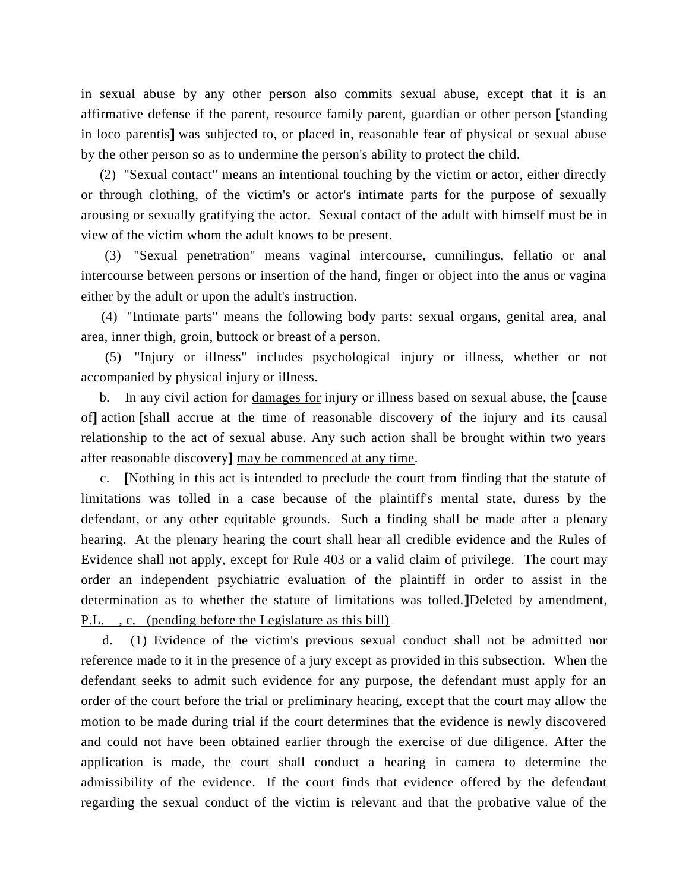in sexual abuse by any other person also commits sexual abuse, except that it is an affirmative defense if the parent, resource family parent, guardian or other person **[**standing in loco parentis**]** was subjected to, or placed in, reasonable fear of physical or sexual abuse by the other person so as to undermine the person's ability to protect the child.

 (2) "Sexual contact" means an intentional touching by the victim or actor, either directly or through clothing, of the victim's or actor's intimate parts for the purpose of sexually arousing or sexually gratifying the actor. Sexual contact of the adult with himself must be in view of the victim whom the adult knows to be present.

 (3) "Sexual penetration" means vaginal intercourse, cunnilingus, fellatio or anal intercourse between persons or insertion of the hand, finger or object into the anus or vagina either by the adult or upon the adult's instruction.

 (4) "Intimate parts" means the following body parts: sexual organs, genital area, anal area, inner thigh, groin, buttock or breast of a person.

 (5) "Injury or illness" includes psychological injury or illness, whether or not accompanied by physical injury or illness.

 b. In any civil action for damages for injury or illness based on sexual abuse, the **[**cause of**]** action **[**shall accrue at the time of reasonable discovery of the injury and its causal relationship to the act of sexual abuse. Any such action shall be brought within two years after reasonable discovery**]** may be commenced at any time.

 c. **[**Nothing in this act is intended to preclude the court from finding that the statute of limitations was tolled in a case because of the plaintiff's mental state, duress by the defendant, or any other equitable grounds. Such a finding shall be made after a plenary hearing. At the plenary hearing the court shall hear all credible evidence and the Rules of Evidence shall not apply, except for Rule 403 or a valid claim of privilege. The court may order an independent psychiatric evaluation of the plaintiff in order to assist in the determination as to whether the statute of limitations was tolled.**]**Deleted by amendment, P.L. , c. (pending before the Legislature as this bill)

 d. (1) Evidence of the victim's previous sexual conduct shall not be admitted nor reference made to it in the presence of a jury except as provided in this subsection. When the defendant seeks to admit such evidence for any purpose, the defendant must apply for an order of the court before the trial or preliminary hearing, except that the court may allow the motion to be made during trial if the court determines that the evidence is newly discovered and could not have been obtained earlier through the exercise of due diligence. After the application is made, the court shall conduct a hearing in camera to determine the admissibility of the evidence. If the court finds that evidence offered by the defendant regarding the sexual conduct of the victim is relevant and that the probative value of the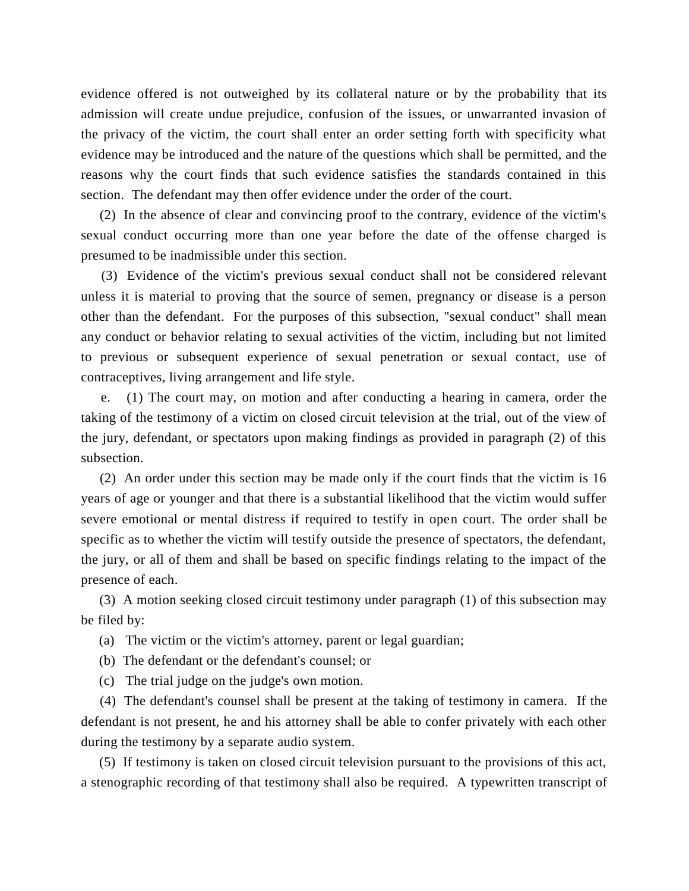evidence offered is not outweighed by its collateral nature or by the probability that its admission will create undue prejudice, confusion of the issues, or unwarranted invasion of the privacy of the victim, the court shall enter an order setting forth with specificity what evidence may be introduced and the nature of the questions which shall be permitted, and the reasons why the court finds that such evidence satisfies the standards contained in this section. The defendant may then offer evidence under the order of the court.

 (2) In the absence of clear and convincing proof to the contrary, evidence of the victim's sexual conduct occurring more than one year before the date of the offense charged is presumed to be inadmissible under this section.

 (3) Evidence of the victim's previous sexual conduct shall not be considered relevant unless it is material to proving that the source of semen, pregnancy or disease is a person other than the defendant. For the purposes of this subsection, "sexual conduct" shall mean any conduct or behavior relating to sexual activities of the victim, including but not limited to previous or subsequent experience of sexual penetration or sexual contact, use of contraceptives, living arrangement and life style.

 e. (1) The court may, on motion and after conducting a hearing in camera, order the taking of the testimony of a victim on closed circuit television at the trial, out of the view of the jury, defendant, or spectators upon making findings as provided in paragraph (2) of this subsection.

 (2) An order under this section may be made only if the court finds that the victim is 16 years of age or younger and that there is a substantial likelihood that the victim would suffer severe emotional or mental distress if required to testify in open court. The order shall be specific as to whether the victim will testify outside the presence of spectators, the defendant, the jury, or all of them and shall be based on specific findings relating to the impact of the presence of each.

 (3) A motion seeking closed circuit testimony under paragraph (1) of this subsection may be filed by:

(a) The victim or the victim's attorney, parent or legal guardian;

- (b) The defendant or the defendant's counsel; or
- (c) The trial judge on the judge's own motion.

 (4) The defendant's counsel shall be present at the taking of testimony in camera. If the defendant is not present, he and his attorney shall be able to confer privately with each other during the testimony by a separate audio system.

 (5) If testimony is taken on closed circuit television pursuant to the provisions of this act, a stenographic recording of that testimony shall also be required. A typewritten transcript of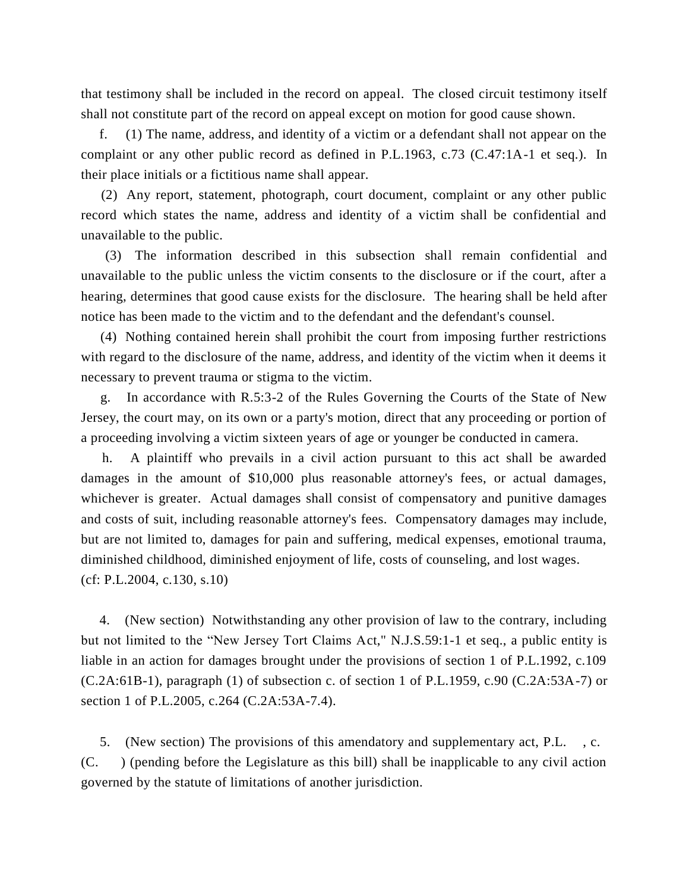that testimony shall be included in the record on appeal. The closed circuit testimony itself shall not constitute part of the record on appeal except on motion for good cause shown.

 f. (1) The name, address, and identity of a victim or a defendant shall not appear on the complaint or any other public record as defined in P.L.1963, c.73 (C.47:1A-1 et seq.). In their place initials or a fictitious name shall appear.

 (2) Any report, statement, photograph, court document, complaint or any other public record which states the name, address and identity of a victim shall be confidential and unavailable to the public.

 (3) The information described in this subsection shall remain confidential and unavailable to the public unless the victim consents to the disclosure or if the court, after a hearing, determines that good cause exists for the disclosure. The hearing shall be held after notice has been made to the victim and to the defendant and the defendant's counsel.

 (4) Nothing contained herein shall prohibit the court from imposing further restrictions with regard to the disclosure of the name, address, and identity of the victim when it deems it necessary to prevent trauma or stigma to the victim.

 g. In accordance with R.5:3-2 of the Rules Governing the Courts of the State of New Jersey, the court may, on its own or a party's motion, direct that any proceeding or portion of a proceeding involving a victim sixteen years of age or younger be conducted in camera.

 h. A plaintiff who prevails in a civil action pursuant to this act shall be awarded damages in the amount of \$10,000 plus reasonable attorney's fees, or actual damages, whichever is greater. Actual damages shall consist of compensatory and punitive damages and costs of suit, including reasonable attorney's fees. Compensatory damages may include, but are not limited to, damages for pain and suffering, medical expenses, emotional trauma, diminished childhood, diminished enjoyment of life, costs of counseling, and lost wages. (cf: P.L.2004, c.130, s.10)

 4. (New section) Notwithstanding any other provision of law to the contrary, including but not limited to the "New Jersey Tort Claims Act," N.J.S.59:1-1 et seq., a public entity is liable in an action for damages brought under the provisions of section 1 of P.L.1992, c.109  $(C.2A:61B-1)$ , paragraph (1) of subsection c. of section 1 of P.L.1959, c.90  $(C.2A:53A-7)$  or section 1 of P.L.2005, c.264 (C.2A:53A-7.4).

 5. (New section) The provisions of this amendatory and supplementary act, P.L. , c. (C. ) (pending before the Legislature as this bill) shall be inapplicable to any civil action governed by the statute of limitations of another jurisdiction.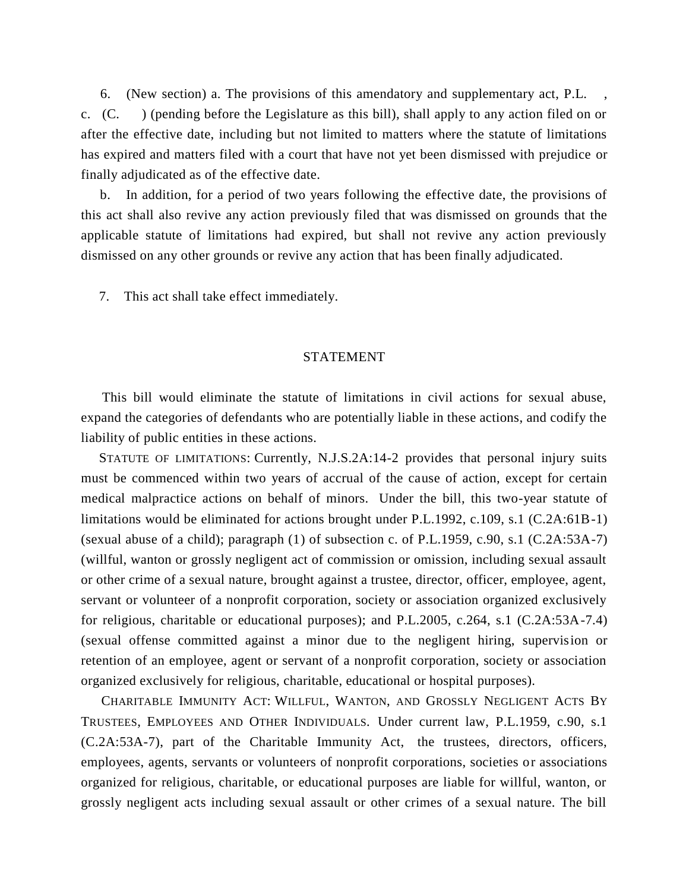6. (New section) a. The provisions of this amendatory and supplementary act, P.L. , c. (C. ) (pending before the Legislature as this bill), shall apply to any action filed on or after the effective date, including but not limited to matters where the statute of limitations has expired and matters filed with a court that have not yet been dismissed with prejudice or finally adjudicated as of the effective date.

 b. In addition, for a period of two years following the effective date, the provisions of this act shall also revive any action previously filed that was dismissed on grounds that the applicable statute of limitations had expired, but shall not revive any action previously dismissed on any other grounds or revive any action that has been finally adjudicated.

7. This act shall take effect immediately.

## STATEMENT

 This bill would eliminate the statute of limitations in civil actions for sexual abuse, expand the categories of defendants who are potentially liable in these actions, and codify the liability of public entities in these actions.

 STATUTE OF LIMITATIONS: Currently, N.J.S.2A:14-2 provides that personal injury suits must be commenced within two years of accrual of the cause of action, except for certain medical malpractice actions on behalf of minors. Under the bill, this two-year statute of limitations would be eliminated for actions brought under P.L.1992, c.109, s.1 (C.2A:61B-1) (sexual abuse of a child); paragraph  $(1)$  of subsection c. of P.L.1959, c.90, s.1  $(C.2A:53A-7)$ (willful, wanton or grossly negligent act of commission or omission, including sexual assault or other crime of a sexual nature, brought against a trustee, director, officer, employee, agent, servant or volunteer of a nonprofit corporation, society or association organized exclusively for religious, charitable or educational purposes); and P.L.2005, c.264, s.1 (C.2A:53A-7.4) (sexual offense committed against a minor due to the negligent hiring, supervision or retention of an employee, agent or servant of a nonprofit corporation, society or association organized exclusively for religious, charitable, educational or hospital purposes).

 CHARITABLE IMMUNITY ACT: WILLFUL, WANTON, AND GROSSLY NEGLIGENT ACTS BY TRUSTEES, EMPLOYEES AND OTHER INDIVIDUALS*.* Under current law, P.L.1959, c.90, s.1 (C.2A:53A-7), part of the Charitable Immunity Act, the trustees, directors, officers, employees, agents, servants or volunteers of nonprofit corporations, societies or associations organized for religious, charitable, or educational purposes are liable for willful, wanton, or grossly negligent acts including sexual assault or other crimes of a sexual nature. The bill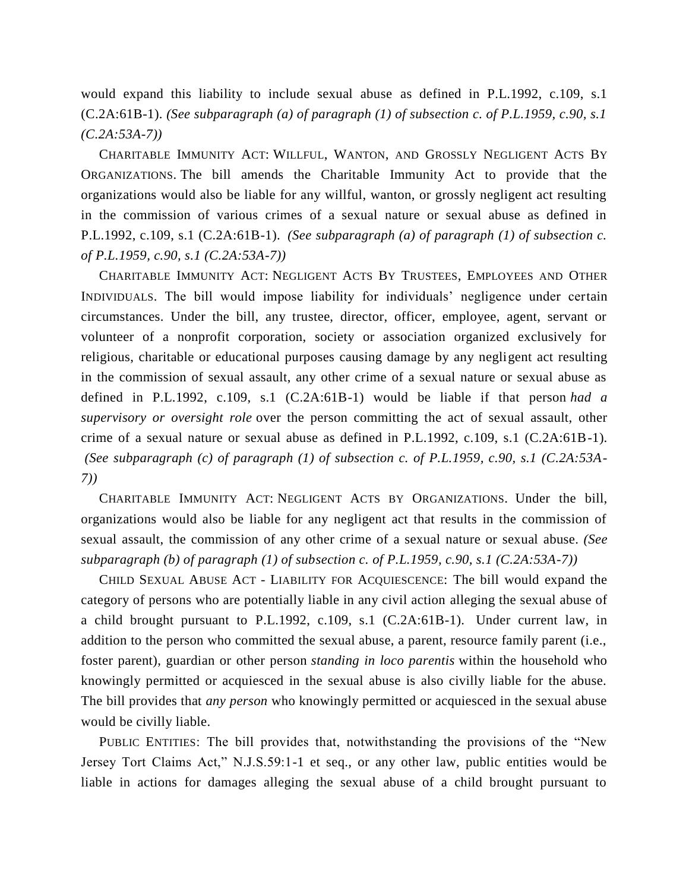would expand this liability to include sexual abuse as defined in P.L.1992, c.109, s.1 (C.2A:61B-1). *(See subparagraph (a) of paragraph (1) of subsection c. of P.L.1959, c.90, s.1 (C.2A:53A-7))*

 CHARITABLE IMMUNITY ACT: WILLFUL, WANTON, AND GROSSLY NEGLIGENT ACTS BY ORGANIZATIONS. The bill amends the Charitable Immunity Act to provide that the organizations would also be liable for any willful, wanton, or grossly negligent act resulting in the commission of various crimes of a sexual nature or sexual abuse as defined in P.L.1992, c.109, s.1 (C.2A:61B-1). *(See subparagraph (a) of paragraph (1) of subsection c. of P.L.1959, c.90, s.1 (C.2A:53A-7))*

 CHARITABLE IMMUNITY ACT: NEGLIGENT ACTS BY TRUSTEES, EMPLOYEES AND OTHER INDIVIDUALS. The bill would impose liability for individuals' negligence under certain circumstances. Under the bill, any trustee, director, officer, employee, agent, servant or volunteer of a nonprofit corporation, society or association organized exclusively for religious, charitable or educational purposes causing damage by any negligent act resulting in the commission of sexual assault, any other crime of a sexual nature or sexual abuse as defined in P.L.1992, c.109, s.1 (C.2A:61B-1) would be liable if that person *had a supervisory or oversight role* over the person committing the act of sexual assault, other crime of a sexual nature or sexual abuse as defined in P.L.1992, c.109, s.1 (C.2A:61B-1). *(See subparagraph (c) of paragraph (1) of subsection c. of P.L.1959, c.90, s.1 (C.2A:53A-7))*

 CHARITABLE IMMUNITY ACT: NEGLIGENT ACTS BY ORGANIZATIONS. Under the bill, organizations would also be liable for any negligent act that results in the commission of sexual assault, the commission of any other crime of a sexual nature or sexual abuse. *(See subparagraph (b) of paragraph (1) of subsection c. of P.L.1959, c.90, s.1 (C.2A:53A-7))*

 CHILD SEXUAL ABUSE ACT - LIABILITY FOR ACQUIESCENCE: The bill would expand the category of persons who are potentially liable in any civil action alleging the sexual abuse of a child brought pursuant to P.L.1992, c.109, s.1 (C.2A:61B-1). Under current law, in addition to the person who committed the sexual abuse, a parent, resource family parent (i.e., foster parent), guardian or other person *standing in loco parentis* within the household who knowingly permitted or acquiesced in the sexual abuse is also civilly liable for the abuse. The bill provides that *any person* who knowingly permitted or acquiesced in the sexual abuse would be civilly liable.

 PUBLIC ENTITIES: The bill provides that, notwithstanding the provisions of the "New Jersey Tort Claims Act," N.J.S.59:1-1 et seq., or any other law, public entities would be liable in actions for damages alleging the sexual abuse of a child brought pursuant to